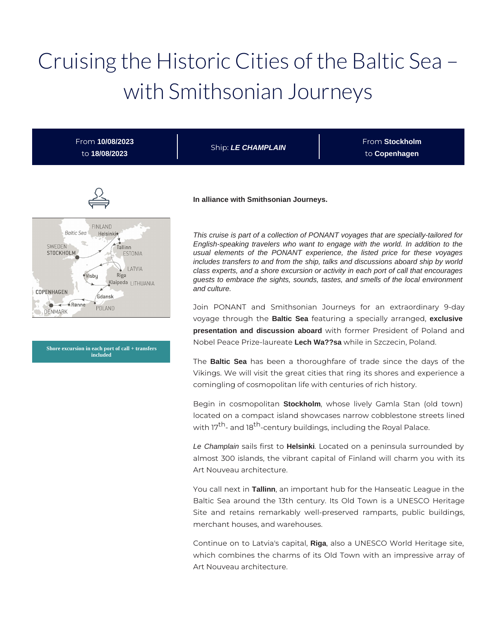# Cruising the Historic Cities of the Baltic Sea – with Smithsonian Journeys

| From 10/08/2023<br>to 18/08/2023                                                                                                                                                                   | Ship: LE CHAMPLAIN                                                                                                                                                                                                                                                                                                                                                                                                                                                                                                                            | From Stockholm<br>to Copenhagen                                 |
|----------------------------------------------------------------------------------------------------------------------------------------------------------------------------------------------------|-----------------------------------------------------------------------------------------------------------------------------------------------------------------------------------------------------------------------------------------------------------------------------------------------------------------------------------------------------------------------------------------------------------------------------------------------------------------------------------------------------------------------------------------------|-----------------------------------------------------------------|
|                                                                                                                                                                                                    | In alliance with Smithsonian Journeys.                                                                                                                                                                                                                                                                                                                                                                                                                                                                                                        |                                                                 |
| <b>FINLAND</b><br><b>Baltic Sea</b><br>Helsinkie<br>SWEDEN<br>Tallinn<br><b>STOCKHOLM</b><br><b>ESTONIA</b><br>LATVIA<br>Riga<br><i><u>Visbu</u></i><br>Klaipeda LITHUANIA<br>COPENHAGEN<br>Gdansk | This cruise is part of a collection of PONANT voyages that are specially-tailored for<br>English-speaking travelers who want to engage with the world. In addition to the<br>usual elements of the PONANT experience, the listed price for these voyages<br>includes transfers to and from the ship, talks and discussions aboard ship by world<br>class experts, and a shore excursion or activity in each port of call that encourages<br>guests to embrace the sights, sounds, tastes, and smells of the local environment<br>and culture. |                                                                 |
| $-6$ Rønne<br>POLAND<br>DENMARK                                                                                                                                                                    |                                                                                                                                                                                                                                                                                                                                                                                                                                                                                                                                               | Join PONANT and Smithsonian Journeys for an extraordinary 9-day |

**Shore excursion in each port of call + transfers included**

Nobel Peace Prize-laureate **Lech Wa??sa** while in Szczecin, Poland. The **Baltic Sea** has been a thoroughfare of trade since the days of the

voyage through the **Baltic Sea** featuring a specially arranged, **exclusive presentation and discussion aboard** with former President of Poland and

Vikings. We will visit the great cities that ring its shores and experience a comingling of cosmopolitan life with centuries of rich history.

Begin in cosmopolitan **Stockholm**, whose lively Gamla Stan (old town) located on a compact island showcases narrow cobblestone streets lined with 17<sup>th</sup>- and 18<sup>th</sup>-century buildings, including the Royal Palace.

Le Champlain sails first to **Helsinki**. Located on a peninsula surrounded by almost 300 islands, the vibrant capital of Finland will charm you with its Art Nouveau architecture.

You call next in **Tallinn**, an important hub for the Hanseatic League in the Baltic Sea around the 13th century. Its Old Town is a UNESCO Heritage Site and retains remarkably well-preserved ramparts, public buildings, merchant houses, and warehouses.

Continue on to Latvia's capital, **Riga**, also a UNESCO World Heritage site, which combines the charms of its Old Town with an impressive array of Art Nouveau architecture.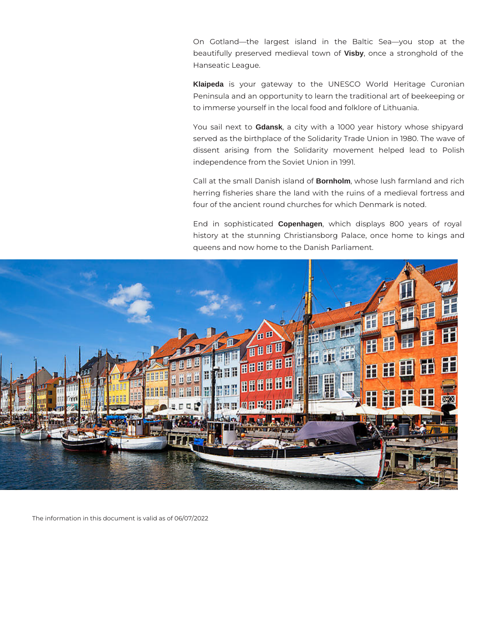On Gotland—the largest island in the Baltic Sea—you stop at the beautifully preserved medieval town of **Visby**, once a stronghold of the Hanseatic League.

**Klaipeda** is your gateway to the UNESCO World Heritage Curonian Peninsula and an opportunity to learn the traditional art of beekeeping or to immerse yourself in the local food and folklore of Lithuania.

You sail next to **Gdansk**, a city with a 1000 year history whose shipyard served as the birthplace of the Solidarity Trade Union in 1980. The wave of dissent arising from the Solidarity movement helped lead to Polish independence from the Soviet Union in 1991.

Call at the small Danish island of **Bornholm**, whose lush farmland and rich herring fisheries share the land with the ruins of a medieval fortress and four of the ancient round churches for which Denmark is noted.

End in sophisticated **Copenhagen**, which displays 800 years of royal history at the stunning Christiansborg Palace, once home to kings and queens and now home to the Danish Parliament.



The information in this document is valid as of 06/07/2022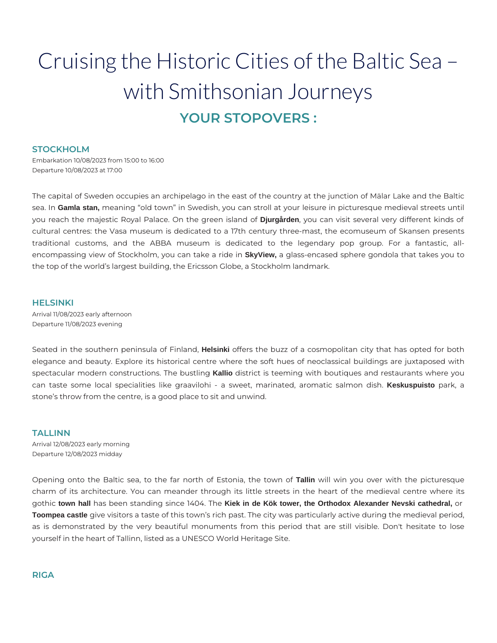# Cruising the Historic Cities of the Baltic Sea – with Smithsonian Journeys **YOUR STOPOVERS :**

#### **STOCKHOLM**

Embarkation 10/08/2023 from 15:00 to 16:00 Departure 10/08/2023 at 17:00

The capital of Sweden occupies an archipelago in the east of the country at the junction of Mälar Lake and the Baltic sea. In **Gamla stan,** meaning "old town" in Swedish, you can stroll at your leisure in picturesque medieval streets until you reach the majestic Royal Palace. On the green island of **Djurgården**, you can visit several very different kinds of cultural centres: the Vasa museum is dedicated to a 17th century three-mast, the ecomuseum of Skansen presents traditional customs, and the ABBA museum is dedicated to the legendary pop group. For a fantastic, allencompassing view of Stockholm, you can take a ride in **SkyView,** a glass-encased sphere gondola that takes you to the top of the world's largest building, the Ericsson Globe, a Stockholm landmark.

#### **HELSINKI**

Arrival 11/08/2023 early afternoon Departure 11/08/2023 evening

Seated in the southern peninsula of Finland, **Helsinki** offers the buzz of a cosmopolitan city that has opted for both elegance and beauty. Explore its historical centre where the soft hues of neoclassical buildings are juxtaposed with spectacular modern constructions. The bustling **Kallio** district is teeming with boutiques and restaurants where you can taste some local specialities like graavilohi - a sweet, marinated, aromatic salmon dish. **Keskuspuisto** park, a stone's throw from the centre, is a good place to sit and unwind.

### **TALLINN**

Arrival 12/08/2023 early morning Departure 12/08/2023 midday

Opening onto the Baltic sea, to the far north of Estonia, the town of **Tallin** will win you over with the picturesque charm of its architecture. You can meander through its little streets in the heart of the medieval centre where its gothic **town hall** has been standing since 1404. The **Kiek in de Kök tower, the Orthodox Alexander Nevski cathedral,** or **Toompea castle** give visitors a taste of this town's rich past. The city was particularly active during the medieval period, as is demonstrated by the very beautiful monuments from this period that are still visible. Don't hesitate to lose yourself in the heart of Tallinn, listed as a UNESCO World Heritage Site.

## **RIGA**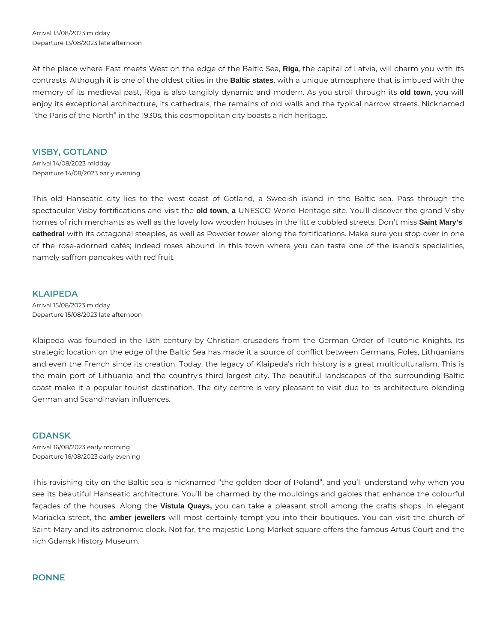Arrival 13/08/2023 midday Departure 13/08/2023 late afternoon

At the place where East meets West on the edge of the Baltic Sea, **Riga**, the capital of Latvia, will charm you with its contrasts. Although it is one of the oldest cities in the **Baltic states**, with a unique atmosphere that is imbued with the memory of its medieval past, Riga is also tangibly dynamic and modern. As you stroll through its **old town**, you will enjoy its exceptional architecture, its cathedrals, the remains of old walls and the typical narrow streets. Nicknamed "the Paris of the North" in the 1930s, this cosmopolitan city boasts a rich heritage.

#### **VISBY, GOTLAND**

Arrival 14/08/2023 midday Departure 14/08/2023 early evening

This old Hanseatic city lies to the west coast of Gotland, a Swedish island in the Baltic sea. Pass through the spectacular Visby fortifications and visit the **old town, a** UNESCO World Heritage site. You'll discover the grand Visby homes of rich merchants as well as the lovely low wooden houses in the little cobbled streets. Don't miss **Saint Mary's cathedral** with its octagonal steeples, as well as Powder tower along the fortifications. Make sure you stop over in one of the rose-adorned cafés; indeed roses abound in this town where you can taste one of the island's specialities, namely saffron pancakes with red fruit.

#### **KLAIPEDA**

Arrival 15/08/2023 midday Departure 15/08/2023 late afternoon

Klaipeda was founded in the 13th century by Christian crusaders from the German Order of Teutonic Knights. Its strategic location on the edge of the Baltic Sea has made it a source of conflict between Germans, Poles, Lithuanians and even the French since its creation. Today, the legacy of Klaipeda's rich history is a great multiculturalism. This is the main port of Lithuania and the country's third largest city. The beautiful landscapes of the surrounding Baltic coast make it a popular tourist destination. The city centre is very pleasant to visit due to its architecture blending German and Scandinavian influences.

#### **GDANSK**

Arrival 16/08/2023 early morning Departure 16/08/2023 early evening

This ravishing city on the Baltic sea is nicknamed "the golden door of Poland", and you'll understand why when you see its beautiful Hanseatic architecture. You'll be charmed by the mouldings and gables that enhance the colourful façades of the houses. Along the **Vistula Quays,** you can take a pleasant stroll among the crafts shops. In elegant Mariacka street, the **amber jewellers** will most certainly tempt you into their boutiques. You can visit the church of Saint-Mary and its astronomic clock. Not far, the majestic Long Market square offers the famous Artus Court and the rich Gdansk History Museum.

#### **RONNE**